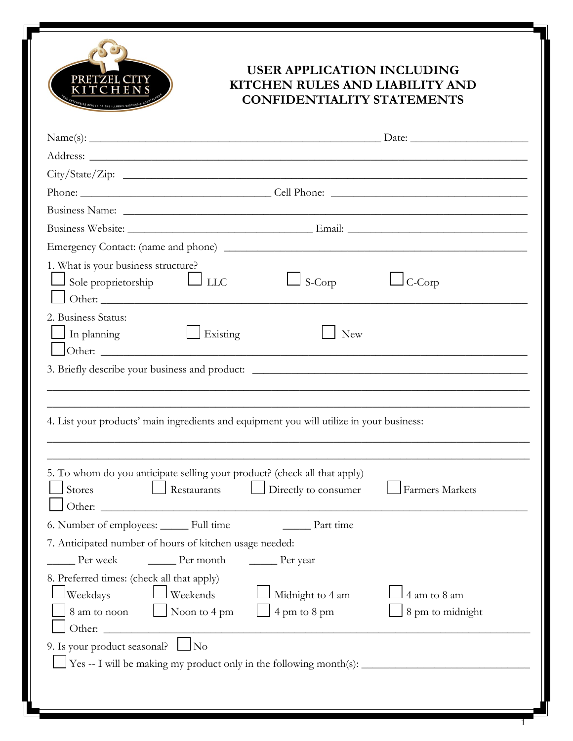

## **USER APPLICATION INCLUDING KITCHEN RULES AND LIABILITY AND CONFIDENTIALITY STATEMENTS**

1

| City/State/Zip:                                                                                                                                                                                                                |                                  |  |
|--------------------------------------------------------------------------------------------------------------------------------------------------------------------------------------------------------------------------------|----------------------------------|--|
|                                                                                                                                                                                                                                |                                  |  |
| Business Name: Name: 2008. [2016] The Contract of the Contract of the Contract of the Contract of the Contract of the Contract of the Contract of the Contract of the Contract of the Contract of the Contract of the Contract |                                  |  |
|                                                                                                                                                                                                                                |                                  |  |
|                                                                                                                                                                                                                                |                                  |  |
| 1. What is your business structure?<br>$\Box$ Sole proprietorship<br>$\Box$ LLC<br>S-Corp<br>Other:                                                                                                                            | C-Corp                           |  |
| 2. Business Status:<br>$\Box$ In planning<br>Existing<br>New                                                                                                                                                                   |                                  |  |
| 3. Briefly describe your business and product: _________________________________                                                                                                                                               |                                  |  |
| 4. List your products' main ingredients and equipment you will utilize in your business:                                                                                                                                       |                                  |  |
| 5. To whom do you anticipate selling your product? (check all that apply)<br>$\Box$ Restaurants $\Box$ Directly to consumer<br>$\Box$ Stores                                                                                   | Farmers Markets                  |  |
| 6. Number of employees: ______ Full time<br>Part time                                                                                                                                                                          |                                  |  |
| 7. Anticipated number of hours of kitchen usage needed:                                                                                                                                                                        |                                  |  |
| $\rule{1em}{0.15mm}$ Per month<br>Per week<br>$\rule{1em}{0.15mm}$ Per year                                                                                                                                                    |                                  |  |
| 8. Preferred times: (check all that apply)<br>Weekdays<br>Weekends<br>Midnight to 4 am<br>8 am to noon<br>4 pm to 8 pm<br>Noon to 4 pm<br>Other:                                                                               | 4 am to 8 am<br>8 pm to midnight |  |
| 9. Is your product seasonal?<br>No<br>Yes -- I will be making my product only in the following month(s): _____________                                                                                                         |                                  |  |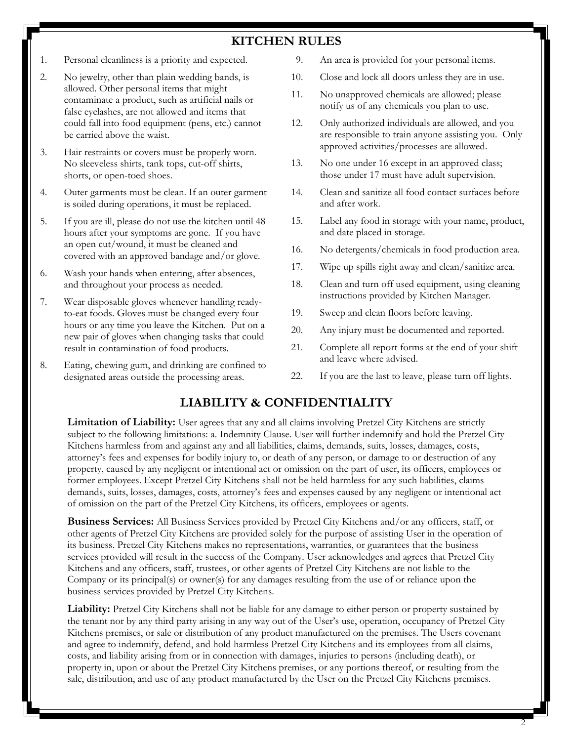## **KITCHEN RULES**

- 1. Personal cleanliness is a priority and expected.
- 2. No jewelry, other than plain wedding bands, is allowed. Other personal items that might contaminate a product, such as artificial nails or false eyelashes, are not allowed and items that could fall into food equipment (pens, etc.) cannot be carried above the waist.
- 3. Hair restraints or covers must be properly worn. No sleeveless shirts, tank tops, cut-off shirts, shorts, or open-toed shoes.
- 4. Outer garments must be clean. If an outer garment is soiled during operations, it must be replaced.
- 5. If you are ill, please do not use the kitchen until 48 hours after your symptoms are gone. If you have an open cut/wound, it must be cleaned and covered with an approved bandage and/or glove.
- 6. Wash your hands when entering, after absences, and throughout your process as needed.
- 7. Wear disposable gloves whenever handling readyto-eat foods. Gloves must be changed every four hours or any time you leave the Kitchen. Put on a new pair of gloves when changing tasks that could result in contamination of food products.
- 8. Eating, chewing gum, and drinking are confined to designated areas outside the processing areas.
- 9. An area is provided for your personal items.
- 10. Close and lock all doors unless they are in use.
- 11. No unapproved chemicals are allowed; please notify us of any chemicals you plan to use.
- 12. Only authorized individuals are allowed, and you are responsible to train anyone assisting you. Only approved activities/processes are allowed.
- 13. No one under 16 except in an approved class; those under 17 must have adult supervision.
- 14. Clean and sanitize all food contact surfaces before and after work.
- 15. Label any food in storage with your name, product, and date placed in storage.
- 16. No detergents/chemicals in food production area.
- 17. Wipe up spills right away and clean/sanitize area.
- 18. Clean and turn off used equipment, using cleaning instructions provided by Kitchen Manager.
- 19. Sweep and clean floors before leaving.
- 20. Any injury must be documented and reported.
- 21. Complete all report forms at the end of your shift and leave where advised.
- 22. If you are the last to leave, please turn off lights.

## **LIABILITY & CONFIDENTIALITY**

**Limitation of Liability:** User agrees that any and all claims involving Pretzel City Kitchens are strictly subject to the following limitations: a. Indemnity Clause. User will further indemnify and hold the Pretzel City Kitchens harmless from and against any and all liabilities, claims, demands, suits, losses, damages, costs, attorney's fees and expenses for bodily injury to, or death of any person, or damage to or destruction of any property, caused by any negligent or intentional act or omission on the part of user, its officers, employees or former employees. Except Pretzel City Kitchens shall not be held harmless for any such liabilities, claims demands, suits, losses, damages, costs, attorney's fees and expenses caused by any negligent or intentional act of omission on the part of the Pretzel City Kitchens, its officers, employees or agents.

**Business Services:** All Business Services provided by Pretzel City Kitchens and/or any officers, staff, or other agents of Pretzel City Kitchens are provided solely for the purpose of assisting User in the operation of its business. Pretzel City Kitchens makes no representations, warranties, or guarantees that the business services provided will result in the success of the Company. User acknowledges and agrees that Pretzel City Kitchens and any officers, staff, trustees, or other agents of Pretzel City Kitchens are not liable to the Company or its principal(s) or owner(s) for any damages resulting from the use of or reliance upon the business services provided by Pretzel City Kitchens.

**Liability:** Pretzel City Kitchens shall not be liable for any damage to either person or property sustained by the tenant nor by any third party arising in any way out of the User's use, operation, occupancy of Pretzel City Kitchens premises, or sale or distribution of any product manufactured on the premises. The Users covenant and agree to indemnify, defend, and hold harmless Pretzel City Kitchens and its employees from all claims, costs, and liability arising from or in connection with damages, injuries to persons (including death), or property in, upon or about the Pretzel City Kitchens premises, or any portions thereof, or resulting from the sale, distribution, and use of any product manufactured by the User on the Pretzel City Kitchens premises.

2